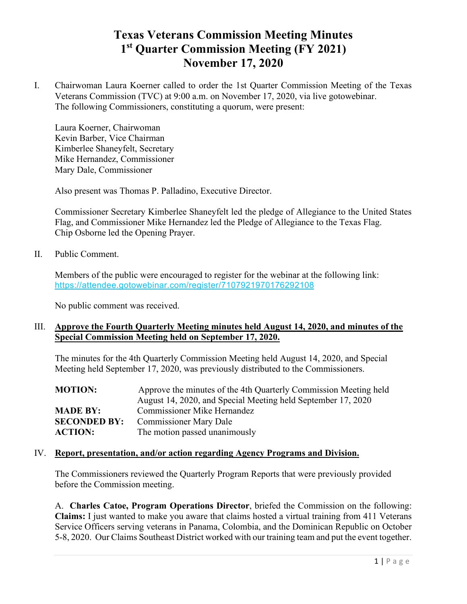# **Texas Veterans Commission Meeting Minutes 1st Quarter Commission Meeting (FY 2021) November 17, 2020**

I. Chairwoman Laura Koerner called to order the 1st Quarter Commission Meeting of the Texas Veterans Commission (TVC) at 9:00 a.m. on November 17, 2020, via live gotowebinar. The following Commissioners, constituting a quorum, were present:

Laura Koerner, Chairwoman Kevin Barber, Vice Chairman Kimberlee Shaneyfelt, Secretary Mike Hernandez, Commissioner Mary Dale, Commissioner

Also present was Thomas P. Palladino, Executive Director.

Commissioner Secretary Kimberlee Shaneyfelt led the pledge of Allegiance to the United States Flag, and Commissioner Mike Hernandez led the Pledge of Allegiance to the Texas Flag. Chip Osborne led the Opening Prayer.

II. Public Comment.

Members of the public were encouraged to register for the webinar at the following link: <https://attendee.gotowebinar.com/register/7107921970176292108>

No public comment was received.

### III. **Approve the Fourth Quarterly Meeting minutes held August 14, 2020, and minutes of the Special Commission Meeting held on September 17, 2020.**

The minutes for the 4th Quarterly Commission Meeting held August 14, 2020, and Special Meeting held September 17, 2020, was previously distributed to the Commissioners.

| <b>MOTION:</b>      | Approve the minutes of the 4th Quarterly Commission Meeting held |
|---------------------|------------------------------------------------------------------|
|                     | August 14, 2020, and Special Meeting held September 17, 2020     |
| <b>MADE BY:</b>     | <b>Commissioner Mike Hernandez</b>                               |
| <b>SECONDED BY:</b> | <b>Commissioner Mary Dale</b>                                    |
| <b>ACTION:</b>      | The motion passed unanimously                                    |

#### IV. **Report, presentation, and/or action regarding Agency Programs and Division.**

The Commissioners reviewed the Quarterly Program Reports that were previously provided before the Commission meeting.

A. **Charles Catoe, Program Operations Director**, briefed the Commission on the following: **Claims:** I just wanted to make you aware that claims hosted a virtual training from 411 Veterans Service Officers serving veterans in Panama, Colombia, and the Dominican Republic on October 5-8, 2020. Our Claims Southeast District worked with our training team and put the event together.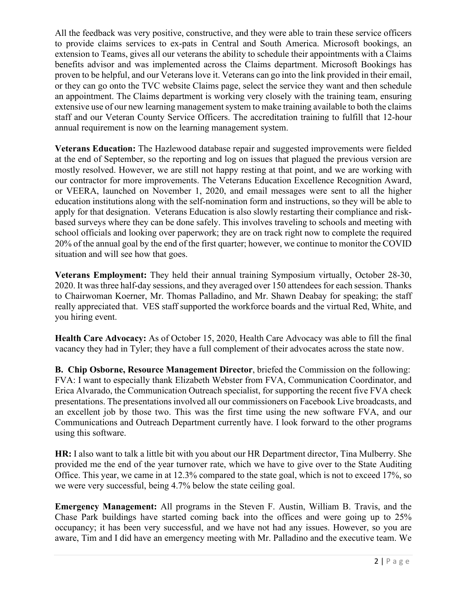All the feedback was very positive, constructive, and they were able to train these service officers to provide claims services to ex-pats in Central and South America. Microsoft bookings, an extension to Teams, gives all our veterans the ability to schedule their appointments with a Claims benefits advisor and was implemented across the Claims department. Microsoft Bookings has proven to be helpful, and our Veterans love it. Veterans can go into the link provided in their email, or they can go onto the TVC website Claims page, select the service they want and then schedule an appointment. The Claims department is working very closely with the training team, ensuring extensive use of our new learning management system to make training available to both the claims staff and our Veteran County Service Officers. The accreditation training to fulfill that 12-hour annual requirement is now on the learning management system.

**Veterans Education:** The Hazlewood database repair and suggested improvements were fielded at the end of September, so the reporting and log on issues that plagued the previous version are mostly resolved. However, we are still not happy resting at that point, and we are working with our contractor for more improvements. The Veterans Education Excellence Recognition Award, or VEERA, launched on November 1, 2020, and email messages were sent to all the higher education institutions along with the self-nomination form and instructions, so they will be able to apply for that designation. Veterans Education is also slowly restarting their compliance and riskbased surveys where they can be done safely. This involves traveling to schools and meeting with school officials and looking over paperwork; they are on track right now to complete the required 20% of the annual goal by the end of the first quarter; however, we continue to monitor the COVID situation and will see how that goes.

**Veterans Employment:** They held their annual training Symposium virtually, October 28-30, 2020. It was three half-day sessions, and they averaged over 150 attendees for each session. Thanks to Chairwoman Koerner, Mr. Thomas Palladino, and Mr. Shawn Deabay for speaking; the staff really appreciated that. VES staff supported the workforce boards and the virtual Red, White, and you hiring event.

**Health Care Advocacy:** As of October 15, 2020, Health Care Advocacy was able to fill the final vacancy they had in Tyler; they have a full complement of their advocates across the state now.

**B. Chip Osborne, Resource Management Director**, briefed the Commission on the following: FVA: I want to especially thank Elizabeth Webster from FVA, Communication Coordinator, and Erica Alvarado, the Communication Outreach specialist, for supporting the recent five FVA check presentations. The presentations involved all our commissioners on Facebook Live broadcasts, and an excellent job by those two. This was the first time using the new software FVA, and our Communications and Outreach Department currently have. I look forward to the other programs using this software.

**HR:** I also want to talk a little bit with you about our HR Department director, Tina Mulberry. She provided me the end of the year turnover rate, which we have to give over to the State Auditing Office. This year, we came in at 12.3% compared to the state goal, which is not to exceed 17%, so we were very successful, being 4.7% below the state ceiling goal.

**Emergency Management:** All programs in the Steven F. Austin, William B. Travis, and the Chase Park buildings have started coming back into the offices and were going up to 25% occupancy; it has been very successful, and we have not had any issues. However, so you are aware, Tim and I did have an emergency meeting with Mr. Palladino and the executive team. We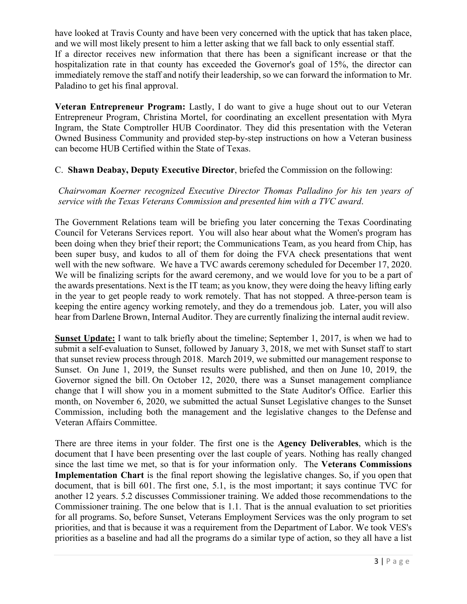have looked at Travis County and have been very concerned with the uptick that has taken place, and we will most likely present to him a letter asking that we fall back to only essential staff. If a director receives new information that there has been a significant increase or that the hospitalization rate in that county has exceeded the Governor's goal of 15%, the director can immediately remove the staff and notify their leadership, so we can forward the information to Mr. Paladino to get his final approval.

**Veteran Entrepreneur Program:** Lastly, I do want to give a huge shout out to our Veteran Entrepreneur Program, Christina Mortel, for coordinating an excellent presentation with Myra Ingram, the State Comptroller HUB Coordinator. They did this presentation with the Veteran Owned Business Community and provided step-by-step instructions on how a Veteran business can become HUB Certified within the State of Texas.

### C. **Shawn Deabay, Deputy Executive Director**, briefed the Commission on the following:

*Chairwoman Koerner recognized Executive Director Thomas Palladino for his ten years of service with the Texas Veterans Commission and presented him with a TVC award*.

The Government Relations team will be briefing you later concerning the Texas Coordinating Council for Veterans Services report. You will also hear about what the Women's program has been doing when they brief their report; the Communications Team, as you heard from Chip, has been super busy, and kudos to all of them for doing the FVA check presentations that went well with the new software. We have a TVC awards ceremony scheduled for December 17, 2020. We will be finalizing scripts for the award ceremony, and we would love for you to be a part of the awards presentations. Next is the IT team; as you know, they were doing the heavy lifting early in the year to get people ready to work remotely. That has not stopped. A three-person team is keeping the entire agency working remotely, and they do a tremendous job. Later, you will also hear from Darlene Brown, Internal Auditor. They are currently finalizing the internal audit review.

**Sunset Update:** I want to talk briefly about the timeline; September 1, 2017, is when we had to submit a self-evaluation to Sunset, followed by January 3, 2018, we met with Sunset staff to start that sunset review process through 2018. March 2019, we submitted our management response to Sunset. On June 1, 2019, the Sunset results were published, and then on June 10, 2019, the Governor signed the bill. On October 12, 2020, there was a Sunset management compliance change that I will show you in a moment submitted to the State Auditor's Office. Earlier this month, on November 6, 2020, we submitted the actual Sunset Legislative changes to the Sunset Commission, including both the management and the legislative changes to the Defense and Veteran Affairs Committee.

There are three items in your folder. The first one is the **Agency Deliverables**, which is the document that I have been presenting over the last couple of years. Nothing has really changed since the last time we met, so that is for your information only. The **Veterans Commissions Implementation Chart** is the final report showing the legislative changes. So, if you open that document, that is bill 601. The first one, 5.1, is the most important; it says continue TVC for another 12 years. 5.2 discusses Commissioner training. We added those recommendations to the Commissioner training. The one below that is 1.1. That is the annual evaluation to set priorities for all programs. So, before Sunset, Veterans Employment Services was the only program to set priorities, and that is because it was a requirement from the Department of Labor. We took VES's priorities as a baseline and had all the programs do a similar type of action, so they all have a list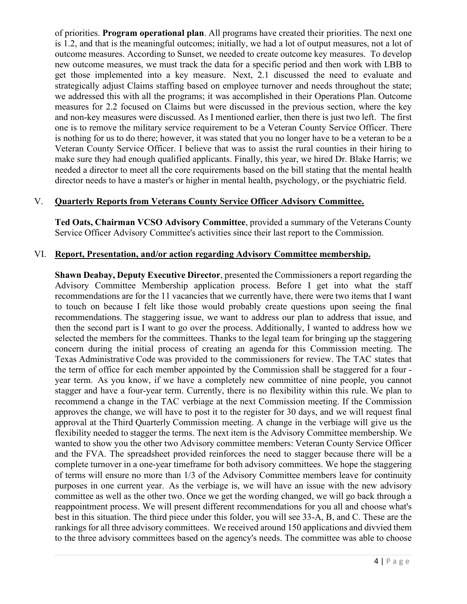of priorities. **Program operational plan**. All programs have created their priorities. The next one is 1.2, and that is the meaningful outcomes; initially, we had a lot of output measures, not a lot of outcome measures. According to Sunset, we needed to create outcome key measures. To develop new outcome measures, we must track the data for a specific period and then work with LBB to get those implemented into a key measure. Next, 2.1 discussed the need to evaluate and strategically adjust Claims staffing based on employee turnover and needs throughout the state; we addressed this with all the programs; it was accomplished in their Operations Plan. Outcome measures for 2.2 focused on Claims but were discussed in the previous section, where the key and non-key measures were discussed. As I mentioned earlier, then there is just two left. The first one is to remove the military service requirement to be a Veteran County Service Officer. There is nothing for us to do there; however, it was stated that you no longer have to be a veteran to be a Veteran County Service Officer. I believe that was to assist the rural counties in their hiring to make sure they had enough qualified applicants. Finally, this year, we hired Dr. Blake Harris; we needed a director to meet all the core requirements based on the bill stating that the mental health director needs to have a master's or higher in mental health, psychology, or the psychiatric field.

### V. **Quarterly Reports from Veterans County Service Officer Advisory Committee.**

**Ted Oats, Chairman VCSO Advisory Committee**, provided a summary of the Veterans County Service Officer Advisory Committee's activities since their last report to the Commission.

### VI. **Report, Presentation, and/or action regarding Advisory Committee membership.**

**Shawn Deabay, Deputy Executive Director**, presented the Commissioners a report regarding the Advisory Committee Membership application process. Before I get into what the staff recommendations are for the 11 vacancies that we currently have, there were two items that I want to touch on because I felt like those would probably create questions upon seeing the final recommendations. The staggering issue, we want to address our plan to address that issue, and then the second part is I want to go over the process. Additionally, I wanted to address how we selected the members for the committees. Thanks to the legal team for bringing up the staggering concern during the initial process of creating an agenda for this Commission meeting. The Texas Administrative Code was provided to the commissioners for review. The TAC states that the term of office for each member appointed by the Commission shall be staggered for a four year term. As you know, if we have a completely new committee of nine people, you cannot stagger and have a four-year term. Currently, there is no flexibility within this rule. We plan to recommend a change in the TAC verbiage at the next Commission meeting. If the Commission approves the change, we will have to post it to the register for 30 days, and we will request final approval at the Third Quarterly Commission meeting. A change in the verbiage will give us the flexibility needed to stagger the terms. The next item is the Advisory Committee membership. We wanted to show you the other two Advisory committee members: Veteran County Service Officer and the FVA. The spreadsheet provided reinforces the need to stagger because there will be a complete turnover in a one-year timeframe for both advisory committees. We hope the staggering of terms will ensure no more than 1/3 of the Advisory Committee members leave for continuity purposes in one current year. As the verbiage is, we will have an issue with the new advisory committee as well as the other two. Once we get the wording changed, we will go back through a reappointment process. We will present different recommendations for you all and choose what's best in this situation. The third piece under this folder, you will see 33-A, B, and C. These are the rankings for all three advisory committees. We received around 150 applications and divvied them to the three advisory committees based on the agency's needs. The committee was able to choose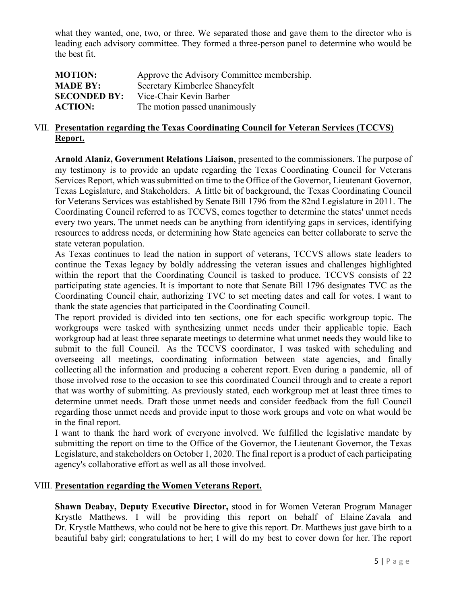what they wanted, one, two, or three. We separated those and gave them to the director who is leading each advisory committee. They formed a three-person panel to determine who would be the best fit.

| <b>MOTION:</b>      | Approve the Advisory Committee membership. |
|---------------------|--------------------------------------------|
| <b>MADE BY:</b>     | Secretary Kimberlee Shaneyfelt             |
| <b>SECONDED BY:</b> | Vice-Chair Kevin Barber                    |
| <b>ACTION:</b>      | The motion passed unanimously              |

#### VII. **Presentation regarding the Texas Coordinating Council for Veteran Services (TCCVS) Report.**

**Arnold Alaniz, Government Relations Liaison**, presented to the commissioners. The purpose of my testimony is to provide an update regarding the Texas Coordinating Council for Veterans Services Report, which was submitted on time to the Office of the Governor, Lieutenant Governor, Texas Legislature, and Stakeholders. A little bit of background, the Texas Coordinating Council for Veterans Services was established by Senate Bill 1796 from the 82nd Legislature in 2011. The Coordinating Council referred to as TCCVS, comes together to determine the states' unmet needs every two years. The unmet needs can be anything from identifying gaps in services, identifying resources to address needs, or determining how State agencies can better collaborate to serve the state veteran population.

As Texas continues to lead the nation in support of veterans, TCCVS allows state leaders to continue the Texas legacy by boldly addressing the veteran issues and challenges highlighted within the report that the Coordinating Council is tasked to produce. TCCVS consists of 22 participating state agencies. It is important to note that Senate Bill 1796 designates TVC as the Coordinating Council chair, authorizing TVC to set meeting dates and call for votes. I want to thank the state agencies that participated in the Coordinating Council.

The report provided is divided into ten sections, one for each specific workgroup topic. The workgroups were tasked with synthesizing unmet needs under their applicable topic. Each workgroup had at least three separate meetings to determine what unmet needs they would like to submit to the full Council. As the TCCVS coordinator, I was tasked with scheduling and overseeing all meetings, coordinating information between state agencies, and finally collecting all the information and producing a coherent report. Even during a pandemic, all of those involved rose to the occasion to see this coordinated Council through and to create a report that was worthy of submitting. As previously stated, each workgroup met at least three times to determine unmet needs. Draft those unmet needs and consider feedback from the full Council regarding those unmet needs and provide input to those work groups and vote on what would be in the final report.

I want to thank the hard work of everyone involved. We fulfilled the legislative mandate by submitting the report on time to the Office of the Governor, the Lieutenant Governor, the Texas Legislature, and stakeholders on October 1, 2020. The final report is a product of each participating agency's collaborative effort as well as all those involved.

### VIII. **Presentation regarding the Women Veterans Report.**

**Shawn Deabay, Deputy Executive Director,** stood in for Women Veteran Program Manager Krystle Matthews. I will be providing this report on behalf of Elaine Zavala and Dr. Krystle Matthews, who could not be here to give this report. Dr. Matthews just gave birth to a beautiful baby girl; congratulations to her; I will do my best to cover down for her. The report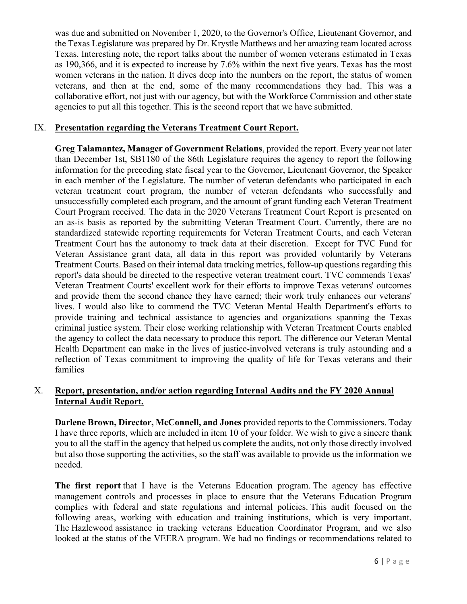was due and submitted on November 1, 2020, to the Governor's Office, Lieutenant Governor, and the Texas Legislature was prepared by Dr. Krystle Matthews and her amazing team located across Texas. Interesting note, the report talks about the number of women veterans estimated in Texas as 190,366, and it is expected to increase by 7.6% within the next five years. Texas has the most women veterans in the nation. It dives deep into the numbers on the report, the status of women veterans, and then at the end, some of the many recommendations they had. This was a collaborative effort, not just with our agency, but with the Workforce Commission and other state agencies to put all this together. This is the second report that we have submitted.

## IX. **Presentation regarding the Veterans Treatment Court Report.**

**Greg Talamantez, Manager of Government Relations**, provided the report. Every year not later than December 1st, SB1180 of the 86th Legislature requires the agency to report the following information for the preceding state fiscal year to the Governor, Lieutenant Governor, the Speaker in each member of the Legislature. The number of veteran defendants who participated in each veteran treatment court program, the number of veteran defendants who successfully and unsuccessfully completed each program, and the amount of grant funding each Veteran Treatment Court Program received. The data in the 2020 Veterans Treatment Court Report is presented on an as-is basis as reported by the submitting Veteran Treatment Court. Currently, there are no standardized statewide reporting requirements for Veteran Treatment Courts, and each Veteran Treatment Court has the autonomy to track data at their discretion. Except for TVC Fund for Veteran Assistance grant data, all data in this report was provided voluntarily by Veterans Treatment Courts. Based on their internal data tracking metrics, follow-up questions regarding this report's data should be directed to the respective veteran treatment court. TVC commends Texas' Veteran Treatment Courts' excellent work for their efforts to improve Texas veterans' outcomes and provide them the second chance they have earned; their work truly enhances our veterans' lives. I would also like to commend the TVC Veteran Mental Health Department's efforts to provide training and technical assistance to agencies and organizations spanning the Texas criminal justice system. Their close working relationship with Veteran Treatment Courts enabled the agency to collect the data necessary to produce this report. The difference our Veteran Mental Health Department can make in the lives of justice-involved veterans is truly astounding and a reflection of Texas commitment to improving the quality of life for Texas veterans and their families

## X. **Report, presentation, and/or action regarding Internal Audits and the FY 2020 Annual Internal Audit Report.**

**Darlene Brown, Director, McConnell, and Jones** provided reports to the Commissioners. Today I have three reports, which are included in item 10 of your folder. We wish to give a sincere thank you to all the staff in the agency that helped us complete the audits, not only those directly involved but also those supporting the activities, so the staff was available to provide us the information we needed.

**The first report** that I have is the Veterans Education program. The agency has effective management controls and processes in place to ensure that the Veterans Education Program complies with federal and state regulations and internal policies. This audit focused on the following areas, working with education and training institutions, which is very important. The Hazlewood assistance in tracking veterans Education Coordinator Program, and we also looked at the status of the VEERA program. We had no findings or recommendations related to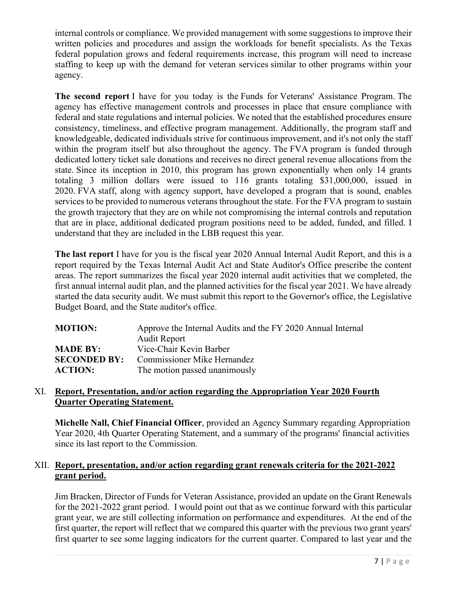internal controls or compliance. We provided management with some suggestions to improve their written policies and procedures and assign the workloads for benefit specialists. As the Texas federal population grows and federal requirements increase, this program will need to increase staffing to keep up with the demand for veteran services similar to other programs within your agency.

**The second report** I have for you today is the Funds for Veterans' Assistance Program. The agency has effective management controls and processes in place that ensure compliance with federal and state regulations and internal policies. We noted that the established procedures ensure consistency, timeliness, and effective program management. Additionally, the program staff and knowledgeable, dedicated individuals strive for continuous improvement, and it's not only the staff within the program itself but also throughout the agency. The FVA program is funded through dedicated lottery ticket sale donations and receives no direct general revenue allocations from the state. Since its inception in 2010, this program has grown exponentially when only 14 grants totaling 3 million dollars were issued to 116 grants totaling \$31,000,000, issued in 2020. FVA staff, along with agency support, have developed a program that is sound, enables services to be provided to numerous veterans throughout the state. For the FVA program to sustain the growth trajectory that they are on while not compromising the internal controls and reputation that are in place, additional dedicated program positions need to be added, funded, and filled. I understand that they are included in the LBB request this year.

**The last report** I have for you is the fiscal year 2020 Annual Internal Audit Report, and this is a report required by the Texas Internal Audit Act and State Auditor's Office prescribe the content areas. The report summarizes the fiscal year 2020 internal audit activities that we completed, the first annual internal audit plan, and the planned activities for the fiscal year 2021. We have already started the data security audit. We must submit this report to the Governor's office, the Legislative Budget Board, and the State auditor's office.

| <b>MOTION:</b>      | Approve the Internal Audits and the FY 2020 Annual Internal<br><b>Audit Report</b> |
|---------------------|------------------------------------------------------------------------------------|
| <b>MADE BY:</b>     | Vice-Chair Kevin Barber                                                            |
| <b>SECONDED BY:</b> | Commissioner Mike Hernandez                                                        |
| <b>ACTION:</b>      | The motion passed unanimously                                                      |

### XI. **Report, Presentation, and/or action regarding the Appropriation Year 2020 Fourth Quarter Operating Statement.**

**Michelle Nall, Chief Financial Officer**, provided an Agency Summary regarding Appropriation Year 2020, 4th Quarter Operating Statement, and a summary of the programs' financial activities since its last report to the Commission.

## XII. **Report, presentation, and/or action regarding grant renewals criteria for the 2021-2022 grant period.**

Jim Bracken, Director of Funds for Veteran Assistance, provided an update on the Grant Renewals for the 2021-2022 grant period. I would point out that as we continue forward with this particular grant year, we are still collecting information on performance and expenditures. At the end of the first quarter, the report will reflect that we compared this quarter with the previous two grant years' first quarter to see some lagging indicators for the current quarter. Compared to last year and the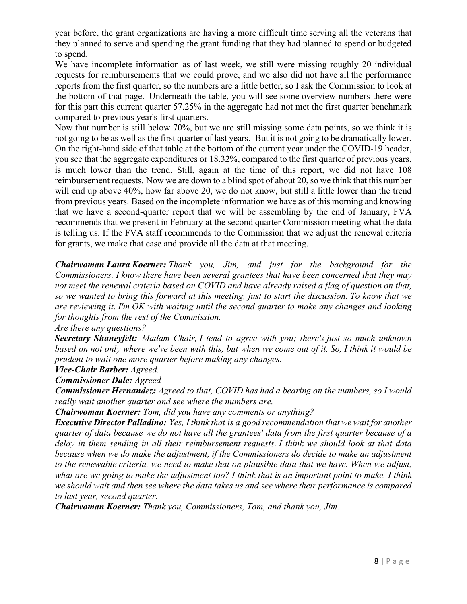year before, the grant organizations are having a more difficult time serving all the veterans that they planned to serve and spending the grant funding that they had planned to spend or budgeted to spend.

We have incomplete information as of last week, we still were missing roughly 20 individual requests for reimbursements that we could prove, and we also did not have all the performance reports from the first quarter, so the numbers are a little better, so I ask the Commission to look at the bottom of that page. Underneath the table, you will see some overview numbers there were for this part this current quarter 57.25% in the aggregate had not met the first quarter benchmark compared to previous year's first quarters.

Now that number is still below 70%, but we are still missing some data points, so we think it is not going to be as well as the first quarter of last years. But it is not going to be dramatically lower. On the right-hand side of that table at the bottom of the current year under the COVID-19 header, you see that the aggregate expenditures or 18.32%, compared to the first quarter of previous years, is much lower than the trend. Still, again at the time of this report, we did not have 108 reimbursement requests. Now we are down to a blind spot of about 20, so we think that this number will end up above 40%, how far above 20, we do not know, but still a little lower than the trend from previous years. Based on the incomplete information we have as of this morning and knowing that we have a second-quarter report that we will be assembling by the end of January, FVA recommends that we present in February at the second quarter Commission meeting what the data is telling us. If the FVA staff recommends to the Commission that we adjust the renewal criteria for grants, we make that case and provide all the data at that meeting.

*Chairwoman Laura Koerner: Thank you, Jim, and just for the background for the Commissioners. I know there have been several grantees that have been concerned that they may not meet the renewal criteria based on COVID and have already raised a flag of question on that, so we wanted to bring this forward at this meeting, just to start the discussion. To know that we are reviewing it. I'm OK with waiting until the second quarter to make any changes and looking for thoughts from the rest of the Commission.* 

*Are there any questions?*

*Secretary Shaneyfelt: Madam Chair, I tend to agree with you; there's just so much unknown based on not only where we've been with this, but when we come out of it. So, I think it would be prudent to wait one more quarter before making any changes.*

*Vice-Chair Barber: Agreed.*

*Commissioner Dale: Agreed*

*Commissioner Hernandez: Agreed to that, COVID has had a bearing on the numbers, so I would really wait another quarter and see where the numbers are.*

*Chairwoman Koerner: Tom, did you have any comments or anything?*

*Executive Director Palladino: Yes, I think that is a good recommendation that we wait for another quarter of data because we do not have all the grantees' data from the first quarter because of a delay in them sending in all their reimbursement requests. I think we should look at that data because when we do make the adjustment, if the Commissioners do decide to make an adjustment to the renewable criteria, we need to make that on plausible data that we have. When we adjust, what are we going to make the adjustment too? I think that is an important point to make. I think we should wait and then see where the data takes us and see where their performance is compared to last year, second quarter.*

*Chairwoman Koerner: Thank you, Commissioners, Tom, and thank you, Jim.*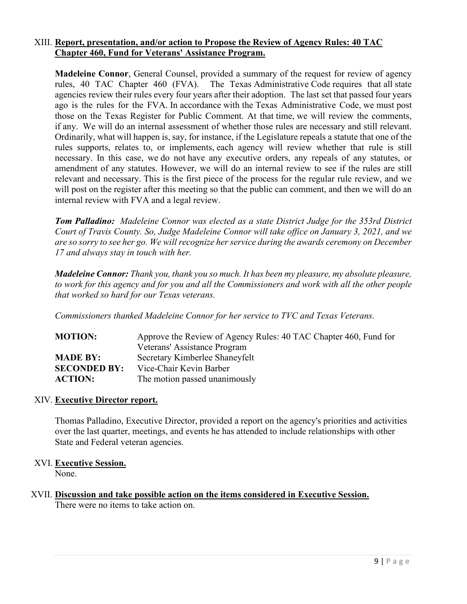#### XIII. **Report, presentation, and/or action to Propose the Review of Agency Rules: 40 TAC Chapter 460, Fund for Veterans' Assistance Program.**

**Madeleine Connor**, General Counsel, provided a summary of the request for review of agency rules, 40 TAC Chapter 460 (FVA). The Texas Administrative Code requires that all state agencies review their rules every four years after their adoption. The last set that passed four years ago is the rules for the FVA. In accordance with the Texas Administrative Code, we must post those on the Texas Register for Public Comment. At that time, we will review the comments, if any. We will do an internal assessment of whether those rules are necessary and still relevant. Ordinarily, what will happen is, say, for instance, if the Legislature repeals a statute that one of the rules supports, relates to, or implements, each agency will review whether that rule is still necessary. In this case, we do not have any executive orders, any repeals of any statutes, or amendment of any statutes. However, we will do an internal review to see if the rules are still relevant and necessary. This is the first piece of the process for the regular rule review, and we will post on the register after this meeting so that the public can comment, and then we will do an internal review with FVA and a legal review.

*Tom Palladino: Madeleine Connor was elected as a state District Judge for the 353rd District Court of Travis County. So, Judge Madeleine Connor will take office on January 3, 2021, and we are so sorry to see her go. We will recognize her service during the awards ceremony on December 17 and always stay in touch with her.* 

*Madeleine Connor: Thank you, thank you so much. It has been my pleasure, my absolute pleasure, to work for this agency and for you and all the Commissioners and work with all the other people that worked so hard for our Texas veterans.* 

*Commissioners thanked Madeleine Connor for her service to TVC and Texas Veterans.*

| <b>MOTION:</b>      | Approve the Review of Agency Rules: 40 TAC Chapter 460, Fund for |
|---------------------|------------------------------------------------------------------|
|                     | Veterans' Assistance Program                                     |
| <b>MADE BY:</b>     | Secretary Kimberlee Shaneyfelt                                   |
| <b>SECONDED BY:</b> | Vice-Chair Kevin Barber                                          |
| <b>ACTION:</b>      | The motion passed unanimously                                    |

#### XIV. **Executive Director report.**

Thomas Palladino, Executive Director, provided a report on the agency's priorities and activities over the last quarter, meetings, and events he has attended to include relationships with other State and Federal veteran agencies.

## XVI. **Executive Session.**

None.

#### XVII. **Discussion and take possible action on the items considered in Executive Session.** There were no items to take action on.